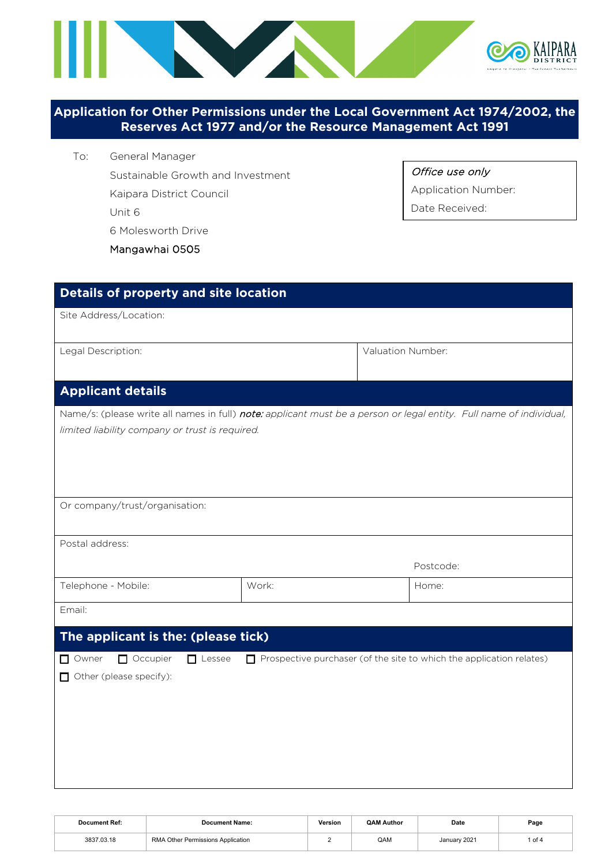

# **Application for Other Permissions under the Local Government Act 1974/2002, the Reserves Act 1977 and/or the Resource Management Act 1991**

- To: General Manager
	- Sustainable Growth and Investment
	- Kaipara District Council

Unit 6

6 Molesworth Drive

## Mangawhai 0505

| Details of property and site location                                                                                                                                  |       |                   |                                                                             |
|------------------------------------------------------------------------------------------------------------------------------------------------------------------------|-------|-------------------|-----------------------------------------------------------------------------|
| Site Address/Location:                                                                                                                                                 |       |                   |                                                                             |
| Legal Description:                                                                                                                                                     |       | Valuation Number: |                                                                             |
| <b>Applicant details</b>                                                                                                                                               |       |                   |                                                                             |
| Name/s: (please write all names in full) note: applicant must be a person or legal entity. Full name of individual,<br>limited liability company or trust is required. |       |                   |                                                                             |
| Or company/trust/organisation:                                                                                                                                         |       |                   |                                                                             |
| Postal address:                                                                                                                                                        |       |                   |                                                                             |
|                                                                                                                                                                        |       |                   | Postcode:                                                                   |
| Telephone - Mobile:                                                                                                                                                    | Work: |                   | Home:                                                                       |
| Email:                                                                                                                                                                 |       |                   |                                                                             |
| The applicant is the: (please tick)                                                                                                                                    |       |                   |                                                                             |
| Occupier<br>$\Box$ Owner<br>$\Box$ Lessee<br>$\Box$ Other (please specify):                                                                                            |       |                   | $\Box$ Prospective purchaser (of the site to which the application relates) |

| <b>Document Ref:</b> | <b>Document Name:</b>             | Version | <b>QAM Author</b> | Date         | Page |
|----------------------|-----------------------------------|---------|-------------------|--------------|------|
| 3837.03.18           | RMA Other Permissions Application |         | QAM               | January 2021 | of 4 |

### Office use only

Application Number:

Date Received: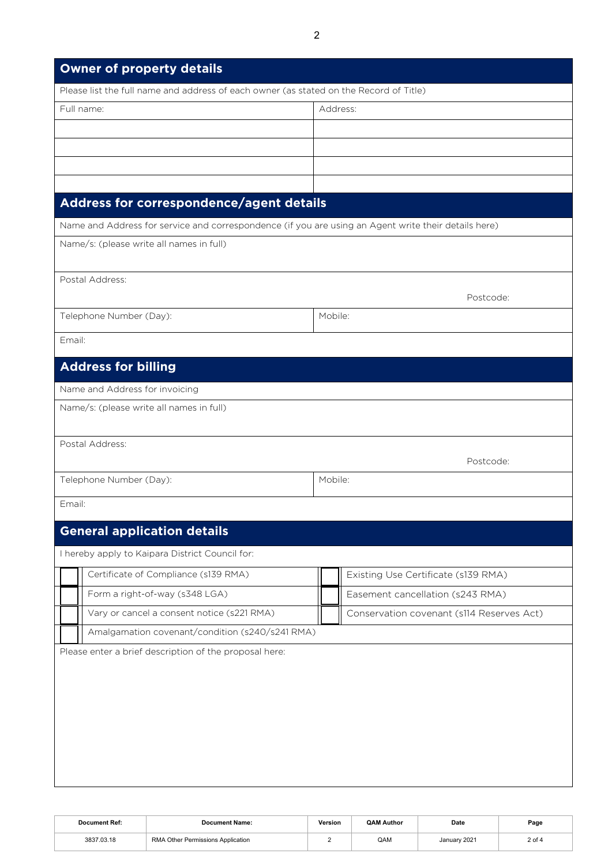| <b>Owner of property details</b>                                                                     |                                           |  |  |  |  |  |
|------------------------------------------------------------------------------------------------------|-------------------------------------------|--|--|--|--|--|
| Please list the full name and address of each owner (as stated on the Record of Title)               |                                           |  |  |  |  |  |
| Full name:                                                                                           | Address:                                  |  |  |  |  |  |
|                                                                                                      |                                           |  |  |  |  |  |
|                                                                                                      |                                           |  |  |  |  |  |
|                                                                                                      |                                           |  |  |  |  |  |
|                                                                                                      |                                           |  |  |  |  |  |
| Address for correspondence/agent details                                                             |                                           |  |  |  |  |  |
| Name and Address for service and correspondence (if you are using an Agent write their details here) |                                           |  |  |  |  |  |
| Name/s: (please write all names in full)                                                             |                                           |  |  |  |  |  |
| Postal Address:                                                                                      | Postcode:                                 |  |  |  |  |  |
| Telephone Number (Day):                                                                              | Mobile:                                   |  |  |  |  |  |
| Email:                                                                                               |                                           |  |  |  |  |  |
| <b>Address for billing</b>                                                                           |                                           |  |  |  |  |  |
| Name and Address for invoicing                                                                       |                                           |  |  |  |  |  |
| Name/s: (please write all names in full)                                                             |                                           |  |  |  |  |  |
| Postal Address:                                                                                      |                                           |  |  |  |  |  |
|                                                                                                      | Postcode:                                 |  |  |  |  |  |
| Telephone Number (Day):                                                                              | Mobile:                                   |  |  |  |  |  |
| Email:                                                                                               |                                           |  |  |  |  |  |
| <b>General application details</b>                                                                   |                                           |  |  |  |  |  |
| I hereby apply to Kaipara District Council for:                                                      |                                           |  |  |  |  |  |
| Certificate of Compliance (s139 RMA)                                                                 | Existing Use Certificate (s139 RMA)       |  |  |  |  |  |
| Form a right-of-way (s348 LGA)                                                                       | Easement cancellation (s243 RMA)          |  |  |  |  |  |
| Vary or cancel a consent notice (s221 RMA)                                                           | Conservation covenant (s114 Reserves Act) |  |  |  |  |  |
| Amalgamation covenant/condition (s240/s241 RMA)                                                      |                                           |  |  |  |  |  |
| Please enter a brief description of the proposal here:                                               |                                           |  |  |  |  |  |

| Document Ref: | Document Name:                    | Version | <b>QAM Author</b> | Date         | Page   |
|---------------|-----------------------------------|---------|-------------------|--------------|--------|
| 3837.03.18    | RMA Other Permissions Application |         | QAM               | January 2021 | 2 of 4 |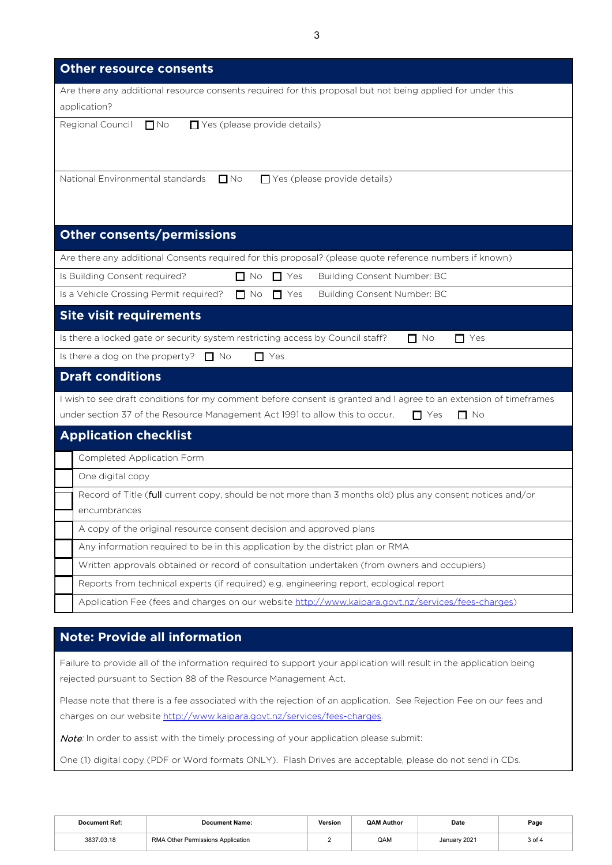3

| <b>Other resource consents</b>                                                                                                                                                                                               |
|------------------------------------------------------------------------------------------------------------------------------------------------------------------------------------------------------------------------------|
| Are there any additional resource consents required for this proposal but not being applied for under this<br>application?                                                                                                   |
| Regional Council<br>$\Box$ No<br>$\Box$ Yes (please provide details)                                                                                                                                                         |
| National Environmental standards<br>$\Box$ No<br>$\Box$ Yes (please provide details)                                                                                                                                         |
| <b>Other consents/permissions</b>                                                                                                                                                                                            |
| Are there any additional Consents required for this proposal? (please quote reference numbers if known)                                                                                                                      |
| Is Building Consent required?<br>$\Box$ No<br>$\Box$ Yes<br>Building Consent Number: BC                                                                                                                                      |
| Is a Vehicle Crossing Permit required?<br>Building Consent Number: BC<br>$\Box$ No<br>$\Box$ Yes                                                                                                                             |
| <b>Site visit requirements</b>                                                                                                                                                                                               |
| Is there a locked gate or security system restricting access by Council staff?<br>$\Box$ No<br>$\Box$ Yes                                                                                                                    |
| Is there a dog on the property? $\Box$ No<br>$\Box$ Yes                                                                                                                                                                      |
| <b>Draft conditions</b>                                                                                                                                                                                                      |
| I wish to see draft conditions for my comment before consent is granted and I agree to an extension of timeframes<br>under section 37 of the Resource Management Act 1991 to allow this to occur.<br>$\Box$ Yes<br>$\Box$ No |
| <b>Application checklist</b>                                                                                                                                                                                                 |
| Completed Application Form                                                                                                                                                                                                   |
| One digital copy                                                                                                                                                                                                             |
| Record of Title (full current copy, should be not more than 3 months old) plus any consent notices and/or<br>encumbrances                                                                                                    |
| A copy of the original resource consent decision and approved plans                                                                                                                                                          |
| Any information required to be in this application by the district plan or RMA                                                                                                                                               |
| Written approvals obtained or record of consultation undertaken (from owners and occupiers)                                                                                                                                  |
| Reports from technical experts (if required) e.g. engineering report, ecological report                                                                                                                                      |
| Application Fee (fees and charges on our website http://www.kaipara.govt.nz/services/fees-charges)                                                                                                                           |

# **Note: Provide all information**

Failure to provide all of the information required to support your application will result in the application being rejected pursuant to Section 88 of the Resource Management Act.

Please note that there is a fee associated with the rejection of an application. See Rejection Fee on our fees and charges on our website [http://www.kaipara.govt.nz/services/fees-charges.](http://www.kaipara.govt.nz/services/fees-charges)

Note: In order to assist with the timely processing of your application please submit:

One (1) digital copy (PDF or Word formats ONLY). Flash Drives are acceptable, please do not send in CDs.

| <b>Document Ref:</b> | <b>Document Name:</b>             | Version | <b>QAM Author</b> | Date         | Page   |
|----------------------|-----------------------------------|---------|-------------------|--------------|--------|
| 3837.03.18           | RMA Other Permissions Application |         | QAM               | January 2021 | 3 of 4 |